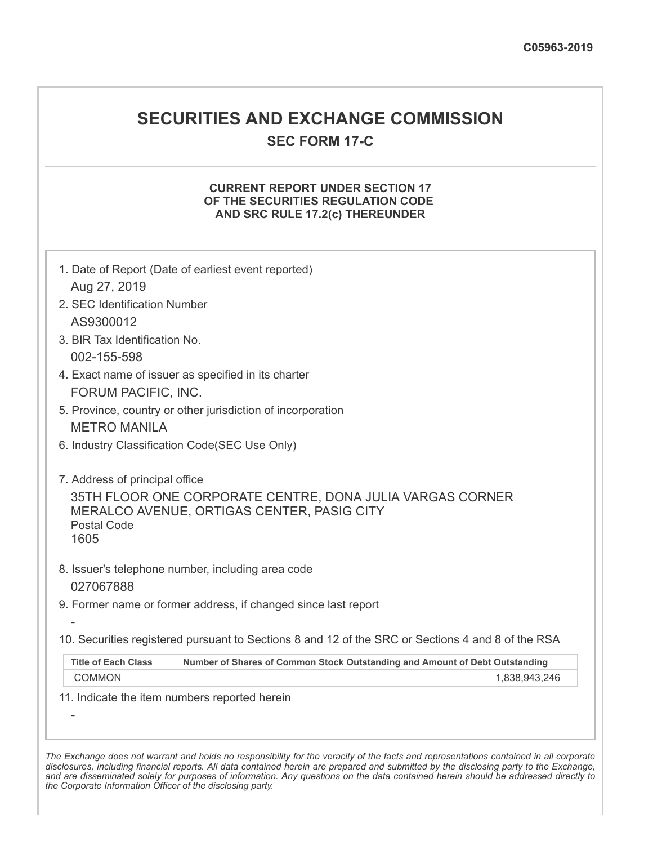## **SECURITIES AND EXCHANGE COMMISSION**

**SEC FORM 17-C**

## **CURRENT REPORT UNDER SECTION 17 OF THE SECURITIES REGULATION CODE AND SRC RULE 17.2(c) THEREUNDER**

| 1. Date of Report (Date of earliest event reported)            |                                                                                                         |
|----------------------------------------------------------------|---------------------------------------------------------------------------------------------------------|
| Aug 27, 2019                                                   |                                                                                                         |
| 2. SEC Identification Number                                   |                                                                                                         |
| AS9300012                                                      |                                                                                                         |
| 3. BIR Tax Identification No.                                  |                                                                                                         |
| 002-155-598                                                    |                                                                                                         |
| 4. Exact name of issuer as specified in its charter            |                                                                                                         |
| FORUM PACIFIC, INC.                                            |                                                                                                         |
| 5. Province, country or other jurisdiction of incorporation    |                                                                                                         |
| <b>METRO MANILA</b>                                            |                                                                                                         |
| 6. Industry Classification Code(SEC Use Only)                  |                                                                                                         |
| 7. Address of principal office<br><b>Postal Code</b><br>1605   | 35TH FLOOR ONE CORPORATE CENTRE, DONA JULIA VARGAS CORNER<br>MERALCO AVENUE, ORTIGAS CENTER, PASIG CITY |
| 8. Issuer's telephone number, including area code<br>027067888 |                                                                                                         |
|                                                                | 9. Former name or former address, if changed since last report                                          |
|                                                                |                                                                                                         |
|                                                                | 10. Securities registered pursuant to Sections 8 and 12 of the SRC or Sections 4 and 8 of the RSA       |
| <b>Title of Each Class</b>                                     | Number of Shares of Common Stock Outstanding and Amount of Debt Outstanding                             |
| <b>COMMON</b>                                                  | 1,838,943,246                                                                                           |
| 11. Indicate the item numbers reported herein                  |                                                                                                         |
|                                                                |                                                                                                         |
|                                                                |                                                                                                         |

The Exchange does not warrant and holds no responsibility for the veracity of the facts and representations contained in all corporate disclosures, including financial reports. All data contained herein are prepared and submitted by the disclosing party to the Exchange, and are disseminated solely for purposes of information. Any questions on the data contained herein should be addressed directly to *the Corporate Information Officer of the disclosing party.*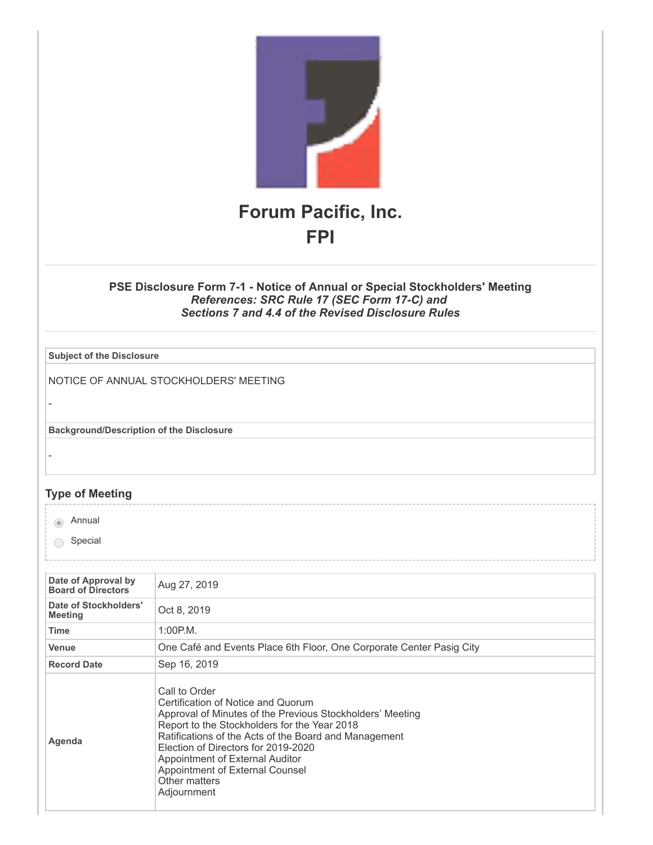

## **PSE Disclosure Form 7-1 - Notice of Annual or Special Stockholders' Meeting** *References: SRC Rule 17 (SEC Form 17-C) and Sections 7 and 4.4 of the Revised Disclosure Rules*

| <b>Subject of the Disclosure</b>                |                                                                                                                                                                                                                                                                                                                                                                        |
|-------------------------------------------------|------------------------------------------------------------------------------------------------------------------------------------------------------------------------------------------------------------------------------------------------------------------------------------------------------------------------------------------------------------------------|
|                                                 | NOTICE OF ANNUAL STOCKHOLDERS' MEETING                                                                                                                                                                                                                                                                                                                                 |
| <b>Background/Description of the Disclosure</b> |                                                                                                                                                                                                                                                                                                                                                                        |
|                                                 |                                                                                                                                                                                                                                                                                                                                                                        |
| <b>Type of Meeting</b>                          |                                                                                                                                                                                                                                                                                                                                                                        |
| Annual<br>$\circ$                               |                                                                                                                                                                                                                                                                                                                                                                        |
| Special                                         |                                                                                                                                                                                                                                                                                                                                                                        |
|                                                 |                                                                                                                                                                                                                                                                                                                                                                        |
| Date of Approval by<br>Board of Directors       | Aug 27, 2019                                                                                                                                                                                                                                                                                                                                                           |
| Date of Stockholders'<br><b>Meeting</b>         | Oct 8, 2019                                                                                                                                                                                                                                                                                                                                                            |
| <b>Time</b>                                     | 1:00P.M.                                                                                                                                                                                                                                                                                                                                                               |
| Venue                                           | One Café and Events Place 6th Floor, One Corporate Center Pasig City                                                                                                                                                                                                                                                                                                   |
| <b>Record Date</b>                              | Sep 16, 2019                                                                                                                                                                                                                                                                                                                                                           |
| Agenda                                          | Call to Order<br>Certification of Notice and Quorum<br>Approval of Minutes of the Previous Stockholders' Meeting<br>Report to the Stockholders for the Year 2018<br>Ratifications of the Acts of the Board and Management<br>Election of Directors for 2019-2020<br>Appointment of External Auditor<br>Appointment of External Counsel<br>Other matters<br>Adjournment |